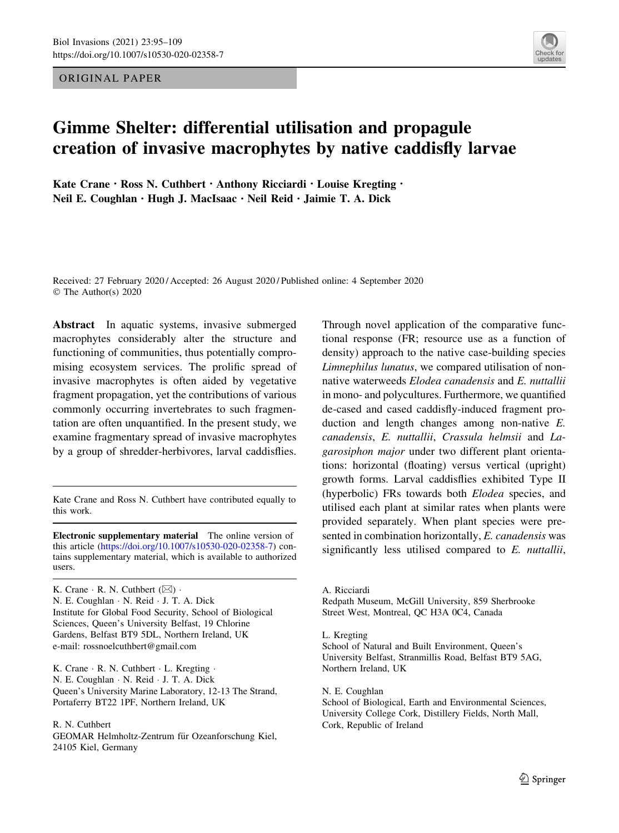ORIGINAL PAPER



# Gimme Shelter: differential utilisation and propagule creation of invasive macrophytes by native caddisfly larvae

Kate Crane · Ross N. Cuthbert · Anthony Ricciardi · Louise Kregting · Neil E. Coughlan · Hugh J. MacIsaac · Neil Reid · Jaimie T. A. Dick

Received: 27 February 2020 / Accepted: 26 August 2020 / Published online: 4 September 2020 © The Author(s) 2020

Abstract In aquatic systems, invasive submerged macrophytes considerably alter the structure and functioning of communities, thus potentially compromising ecosystem services. The prolific spread of invasive macrophytes is often aided by vegetative fragment propagation, yet the contributions of various commonly occurring invertebrates to such fragmentation are often unquantified. In the present study, we examine fragmentary spread of invasive macrophytes by a group of shredder-herbivores, larval caddisflies.

Kate Crane and Ross N. Cuthbert have contributed equally to this work.

Electronic supplementary material The online version of this article [\(https://doi.org/10.1007/s10530-020-02358-7](https://doi.org/10.1007/s10530-020-02358-7)) contains supplementary material, which is available to authorized users.

K. Crane  $\cdot$  R. N. Cuthbert ( $\boxtimes$ )  $\cdot$ N. E. Coughlan - N. Reid - J. T. A. Dick Institute for Global Food Security, School of Biological Sciences, Queen's University Belfast, 19 Chlorine Gardens, Belfast BT9 5DL, Northern Ireland, UK e-mail: rossnoelcuthbert@gmail.com

K. Crane · R. N. Cuthbert · L. Kregting · N. E. Coughlan - N. Reid - J. T. A. Dick Queen's University Marine Laboratory, 12-13 The Strand, Portaferry BT22 1PF, Northern Ireland, UK

R. N. Cuthbert GEOMAR Helmholtz-Zentrum für Ozeanforschung Kiel, 24105 Kiel, Germany

Through novel application of the comparative functional response (FR; resource use as a function of density) approach to the native case-building species Limnephilus lunatus, we compared utilisation of nonnative waterweeds Elodea canadensis and E. nuttallii in mono- and polycultures. Furthermore, we quantified de-cased and cased caddisfly-induced fragment production and length changes among non-native E. canadensis, E. nuttallii, Crassula helmsii and Lagarosiphon major under two different plant orientations: horizontal (floating) versus vertical (upright) growth forms. Larval caddisflies exhibited Type II (hyperbolic) FRs towards both Elodea species, and utilised each plant at similar rates when plants were provided separately. When plant species were presented in combination horizontally, E. canadensis was significantly less utilised compared to E. nuttallii,

A. Ricciardi

Redpath Museum, McGill University, 859 Sherbrooke Street West, Montreal, QC H3A 0C4, Canada

L. Kregting

School of Natural and Built Environment, Queen's University Belfast, Stranmillis Road, Belfast BT9 5AG, Northern Ireland, UK

N. E. Coughlan School of Biological, Earth and Environmental Sciences, University College Cork, Distillery Fields, North Mall, Cork, Republic of Ireland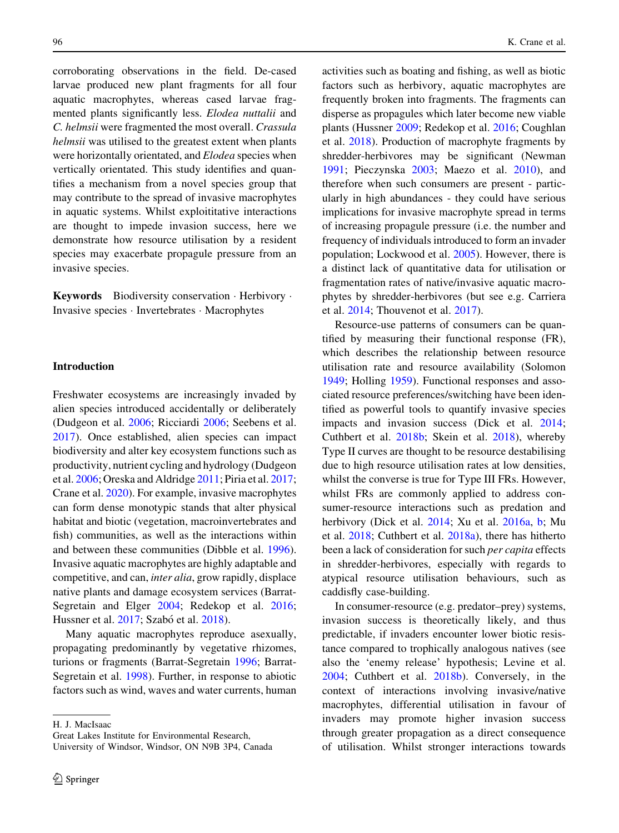corroborating observations in the field. De-cased larvae produced new plant fragments for all four aquatic macrophytes, whereas cased larvae fragmented plants significantly less. Elodea nuttalii and C. helmsii were fragmented the most overall. Crassula helmsii was utilised to the greatest extent when plants were horizontally orientated, and Elodea species when vertically orientated. This study identifies and quantifies a mechanism from a novel species group that may contribute to the spread of invasive macrophytes in aquatic systems. Whilst exploititative interactions are thought to impede invasion success, here we demonstrate how resource utilisation by a resident species may exacerbate propagule pressure from an invasive species.

Keywords Biodiversity conservation · Herbivory · Invasive species - Invertebrates - Macrophytes

## Introduction

Freshwater ecosystems are increasingly invaded by alien species introduced accidentally or deliberately (Dudgeon et al. [2006;](#page-12-0) Ricciardi [2006;](#page-13-0) Seebens et al. [2017\)](#page-13-0). Once established, alien species can impact biodiversity and alter key ecosystem functions such as productivity, nutrient cycling and hydrology (Dudgeon et al. [2006;](#page-12-0) Oreska and Aldridge [2011](#page-13-0); Piria et al. [2017](#page-13-0); Crane et al. [2020\)](#page-12-0). For example, invasive macrophytes can form dense monotypic stands that alter physical habitat and biotic (vegetation, macroinvertebrates and fish) communities, as well as the interactions within and between these communities (Dibble et al. [1996](#page-12-0)). Invasive aquatic macrophytes are highly adaptable and competitive, and can, inter alia, grow rapidly, displace native plants and damage ecosystem services (Barrat-Segretain and Elger [2004](#page-12-0); Redekop et al. [2016](#page-13-0); Hussner et al. [2017;](#page-13-0) Szabó et al. [2018](#page-14-0)).

Many aquatic macrophytes reproduce asexually, propagating predominantly by vegetative rhizomes, turions or fragments (Barrat-Segretain [1996](#page-12-0); Barrat-Segretain et al. [1998](#page-12-0)). Further, in response to abiotic factors such as wind, waves and water currents, human

H. J. MacIsaac

Great Lakes Institute for Environmental Research,

activities such as boating and fishing, as well as biotic factors such as herbivory, aquatic macrophytes are frequently broken into fragments. The fragments can disperse as propagules which later become new viable plants (Hussner [2009](#page-13-0); Redekop et al. [2016;](#page-13-0) Coughlan et al. [2018](#page-12-0)). Production of macrophyte fragments by shredder-herbivores may be significant (Newman [1991;](#page-13-0) Pieczynska [2003](#page-13-0); Maezo et al. [2010](#page-13-0)), and therefore when such consumers are present - particularly in high abundances - they could have serious implications for invasive macrophyte spread in terms of increasing propagule pressure (i.e. the number and frequency of individuals introduced to form an invader population; Lockwood et al. [2005\)](#page-13-0). However, there is a distinct lack of quantitative data for utilisation or fragmentation rates of native/invasive aquatic macrophytes by shredder-herbivores (but see e.g. Carriera et al. [2014](#page-12-0); Thouvenot et al. [2017\)](#page-14-0).

Resource-use patterns of consumers can be quantified by measuring their functional response (FR), which describes the relationship between resource utilisation rate and resource availability (Solomon [1949;](#page-14-0) Holling [1959\)](#page-13-0). Functional responses and associated resource preferences/switching have been identified as powerful tools to quantify invasive species impacts and invasion success (Dick et al. [2014](#page-12-0); Cuthbert et al. [2018b](#page-12-0); Skein et al. [2018\)](#page-14-0), whereby Type II curves are thought to be resource destabilising due to high resource utilisation rates at low densities, whilst the converse is true for Type III FRs. However, whilst FRs are commonly applied to address consumer-resource interactions such as predation and herbivory (Dick et al. [2014](#page-12-0); Xu et al. [2016a,](#page-14-0) [b](#page-14-0); Mu et al. [2018](#page-13-0); Cuthbert et al. [2018a](#page-12-0)), there has hitherto been a lack of consideration for such per capita effects in shredder-herbivores, especially with regards to atypical resource utilisation behaviours, such as caddisfly case-building.

In consumer-resource (e.g. predator–prey) systems, invasion success is theoretically likely, and thus predictable, if invaders encounter lower biotic resistance compared to trophically analogous natives (see also the 'enemy release' hypothesis; Levine et al. [2004;](#page-13-0) Cuthbert et al. [2018b\)](#page-12-0). Conversely, in the context of interactions involving invasive/native macrophytes, differential utilisation in favour of invaders may promote higher invasion success through greater propagation as a direct consequence of utilisation. Whilst stronger interactions towards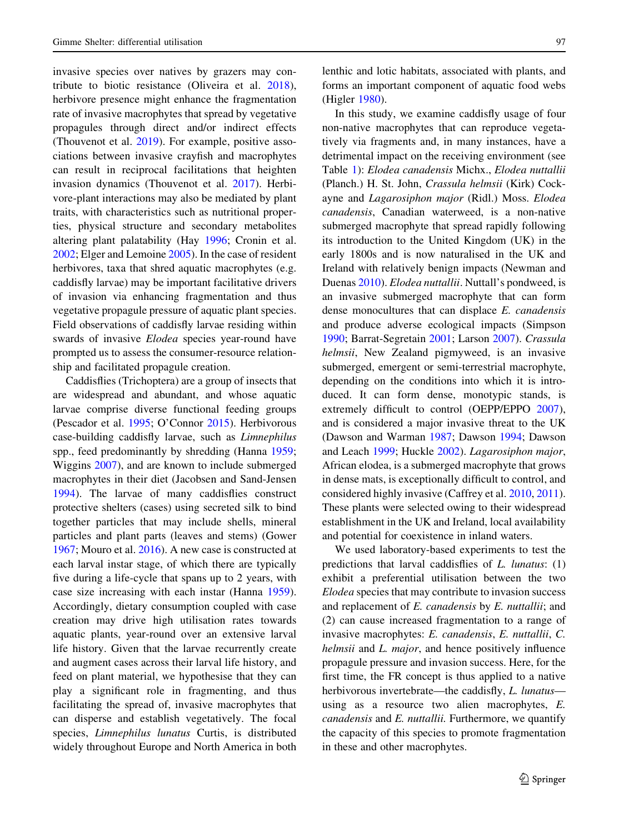invasive species over natives by grazers may contribute to biotic resistance (Oliveira et al. [2018](#page-13-0)), herbivore presence might enhance the fragmentation rate of invasive macrophytes that spread by vegetative propagules through direct and/or indirect effects (Thouvenot et al. [2019](#page-14-0)). For example, positive associations between invasive crayfish and macrophytes can result in reciprocal facilitations that heighten invasion dynamics (Thouvenot et al. [2017\)](#page-14-0). Herbivore-plant interactions may also be mediated by plant traits, with characteristics such as nutritional properties, physical structure and secondary metabolites altering plant palatability (Hay [1996;](#page-12-0) Cronin et al. [2002;](#page-12-0) Elger and Lemoine [2005](#page-12-0)). In the case of resident herbivores, taxa that shred aquatic macrophytes (e.g. caddisfly larvae) may be important facilitative drivers of invasion via enhancing fragmentation and thus vegetative propagule pressure of aquatic plant species. Field observations of caddisfly larvae residing within swards of invasive Elodea species year-round have prompted us to assess the consumer-resource relationship and facilitated propagule creation.

Caddisflies (Trichoptera) are a group of insects that are widespread and abundant, and whose aquatic larvae comprise diverse functional feeding groups (Pescador et al. [1995](#page-13-0); O'Connor [2015](#page-13-0)). Herbivorous case-building caddisfly larvae, such as Limnephilus spp., feed predominantly by shredding (Hanna [1959](#page-12-0); Wiggins [2007\)](#page-14-0), and are known to include submerged macrophytes in their diet (Jacobsen and Sand-Jensen [1994\)](#page-13-0). The larvae of many caddisflies construct protective shelters (cases) using secreted silk to bind together particles that may include shells, mineral particles and plant parts (leaves and stems) (Gower [1967;](#page-12-0) Mouro et al. [2016](#page-13-0)). A new case is constructed at each larval instar stage, of which there are typically five during a life-cycle that spans up to 2 years, with case size increasing with each instar (Hanna [1959](#page-12-0)). Accordingly, dietary consumption coupled with case creation may drive high utilisation rates towards aquatic plants, year-round over an extensive larval life history. Given that the larvae recurrently create and augment cases across their larval life history, and feed on plant material, we hypothesise that they can play a significant role in fragmenting, and thus facilitating the spread of, invasive macrophytes that can disperse and establish vegetatively. The focal species, Limnephilus lunatus Curtis, is distributed widely throughout Europe and North America in both

lenthic and lotic habitats, associated with plants, and forms an important component of aquatic food webs (Higler [1980\)](#page-13-0).

In this study, we examine caddisfly usage of four non-native macrophytes that can reproduce vegetatively via fragments and, in many instances, have a detrimental impact on the receiving environment (see Table [1](#page-3-0)): Elodea canadensis Michx., Elodea nuttallii (Planch.) H. St. John, Crassula helmsii (Kirk) Cockayne and Lagarosiphon major (Ridl.) Moss. Elodea canadensis, Canadian waterweed, is a non-native submerged macrophyte that spread rapidly following its introduction to the United Kingdom (UK) in the early 1800s and is now naturalised in the UK and Ireland with relatively benign impacts (Newman and Duenas [2010\)](#page-13-0). Elodea nuttallii. Nuttall's pondweed, is an invasive submerged macrophyte that can form dense monocultures that can displace E. canadensis and produce adverse ecological impacts (Simpson [1990;](#page-14-0) Barrat-Segretain [2001;](#page-12-0) Larson [2007\)](#page-13-0). Crassula helmsii, New Zealand pigmyweed, is an invasive submerged, emergent or semi-terrestrial macrophyte, depending on the conditions into which it is introduced. It can form dense, monotypic stands, is extremely difficult to control (OEPP/EPPO [2007](#page-13-0)), and is considered a major invasive threat to the UK (Dawson and Warman [1987;](#page-12-0) Dawson [1994;](#page-12-0) Dawson and Leach [1999](#page-12-0); Huckle [2002\)](#page-13-0). Lagarosiphon major, African elodea, is a submerged macrophyte that grows in dense mats, is exceptionally difficult to control, and considered highly invasive (Caffrey et al. [2010](#page-12-0), [2011](#page-12-0)). These plants were selected owing to their widespread establishment in the UK and Ireland, local availability and potential for coexistence in inland waters.

We used laboratory-based experiments to test the predictions that larval caddisflies of L. lunatus: (1) exhibit a preferential utilisation between the two Elodea species that may contribute to invasion success and replacement of E. canadensis by E. nuttallii; and (2) can cause increased fragmentation to a range of invasive macrophytes: E. canadensis, E. nuttallii, C. helmsii and L. major, and hence positively influence propagule pressure and invasion success. Here, for the first time, the FR concept is thus applied to a native herbivorous invertebrate—the caddisfly, *L. lunatus* using as a resource two alien macrophytes, E. canadensis and E. nuttallii. Furthermore, we quantify the capacity of this species to promote fragmentation in these and other macrophytes.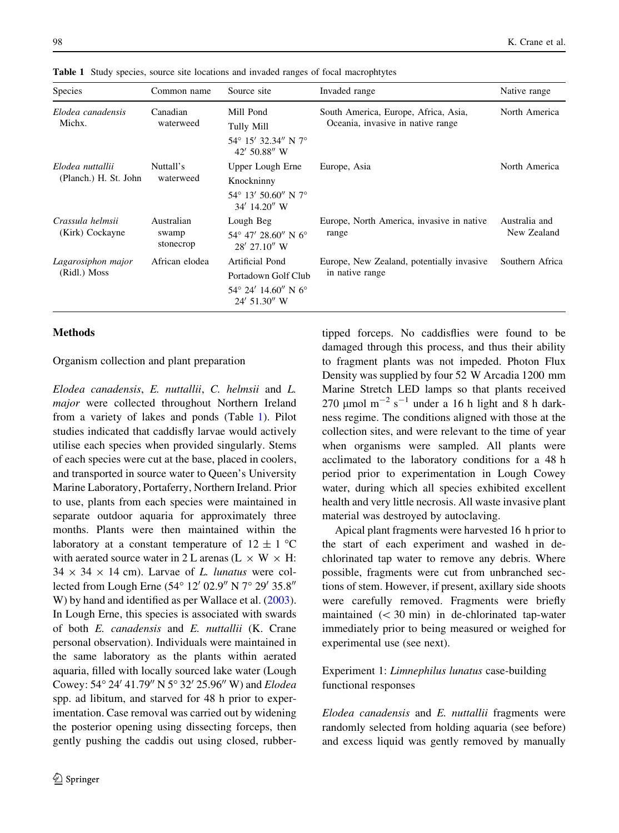| <b>Species</b>                            | Common name                      | Source site                                                                              | Invaded range                                                             | Native range                 |
|-------------------------------------------|----------------------------------|------------------------------------------------------------------------------------------|---------------------------------------------------------------------------|------------------------------|
| Elodea canadensis<br>Michx.               | Canadian<br>waterweed            | Mill Pond<br>Tully Mill<br>54° 15′ 32.34″ N 7°<br>42' 50.88" W                           | South America, Europe, Africa, Asia,<br>Oceania, invasive in native range | North America                |
| Elodea nuttallii<br>(Planch.) H. St. John | Nuttall's<br>waterweed           | Upper Lough Erne<br>Knockninny<br>$54^{\circ}$ 13' 50.60" N 7°<br>$34'$ 14.20" W         | Europe, Asia                                                              | North America                |
| Crassula helmsii<br>(Kirk) Cockayne       | Australian<br>swamp<br>stonecrop | Lough Beg<br>$54^{\circ}$ 47' 28.60" N 6°<br>28' 27.10" W                                | Europe, North America, invasive in native<br>range                        | Australia and<br>New Zealand |
| Lagarosiphon major<br>(Ridl.) Moss        | African elodea                   | Artificial Pond<br>Portadown Golf Club<br>$54^{\circ}$ 24' 14.60" N 6°<br>$24'$ 51.30" W | Europe, New Zealand, potentially invasive<br>in native range              | Southern Africa              |

<span id="page-3-0"></span>Table 1 Study species, source site locations and invaded ranges of focal macrophtytes

#### Methods

Organism collection and plant preparation

Elodea canadensis, E. nuttallii, C. helmsii and L. major were collected throughout Northern Ireland from a variety of lakes and ponds (Table 1). Pilot studies indicated that caddisfly larvae would actively utilise each species when provided singularly. Stems of each species were cut at the base, placed in coolers, and transported in source water to Queen's University Marine Laboratory, Portaferry, Northern Ireland. Prior to use, plants from each species were maintained in separate outdoor aquaria for approximately three months. Plants were then maintained within the laboratory at a constant temperature of  $12 \pm 1$  °C with aerated source water in 2 L arenas (L  $\times$  W  $\times$  H:  $34 \times 34 \times 14$  cm). Larvae of L. lunatus were collected from Lough Erne  $(54^{\circ} 12' 02.9'' N 7^{\circ} 29' 35.8''$ W) by hand and identified as per Wallace et al. [\(2003](#page-14-0)). In Lough Erne, this species is associated with swards of both E. canadensis and E. nuttallii (K. Crane personal observation). Individuals were maintained in the same laboratory as the plants within aerated aquaria, filled with locally sourced lake water (Lough Cowey: 54° 24′ 41.79″ N 5° 32′ 25.96″ W) and Elodea spp. ad libitum, and starved for 48 h prior to experimentation. Case removal was carried out by widening the posterior opening using dissecting forceps, then gently pushing the caddis out using closed, rubbertipped forceps. No caddisflies were found to be damaged through this process, and thus their ability to fragment plants was not impeded. Photon Flux Density was supplied by four 52 W Arcadia 1200 mm Marine Stretch LED lamps so that plants received 270  $\mu$ mol m<sup>-2</sup> s<sup>-1</sup> under a 16 h light and 8 h darkness regime. The conditions aligned with those at the collection sites, and were relevant to the time of year when organisms were sampled. All plants were acclimated to the laboratory conditions for a 48 h period prior to experimentation in Lough Cowey water, during which all species exhibited excellent health and very little necrosis. All waste invasive plant material was destroyed by autoclaving.

Apical plant fragments were harvested 16 h prior to the start of each experiment and washed in dechlorinated tap water to remove any debris. Where possible, fragments were cut from unbranched sections of stem. However, if present, axillary side shoots were carefully removed. Fragments were briefly maintained  $(< 30$  min) in de-chlorinated tap-water immediately prior to being measured or weighed for experimental use (see next).

## Experiment 1: Limnephilus lunatus case-building functional responses

Elodea canadensis and E. nuttallii fragments were randomly selected from holding aquaria (see before) and excess liquid was gently removed by manually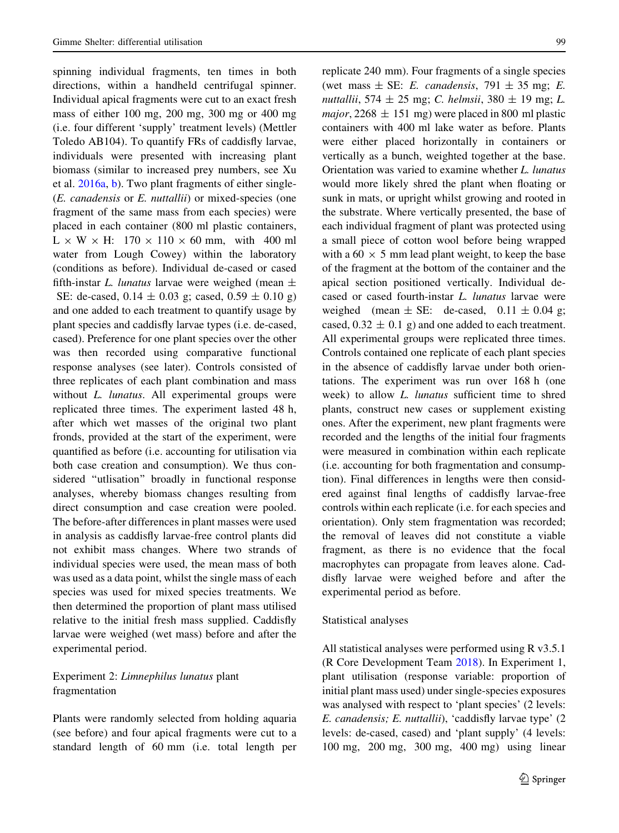spinning individual fragments, ten times in both directions, within a handheld centrifugal spinner. Individual apical fragments were cut to an exact fresh mass of either 100 mg, 200 mg, 300 mg or 400 mg (i.e. four different 'supply' treatment levels) (Mettler Toledo AB104). To quantify FRs of caddisfly larvae, individuals were presented with increasing plant biomass (similar to increased prey numbers, see Xu et al. [2016a,](#page-14-0) [b\)](#page-14-0). Two plant fragments of either single- (E. canadensis or E. nuttallii) or mixed-species (one fragment of the same mass from each species) were placed in each container (800 ml plastic containers,  $L \times W \times H$ : 170  $\times$  110  $\times$  60 mm, with 400 ml water from Lough Cowey) within the laboratory (conditions as before). Individual de-cased or cased fifth-instar L. lunatus larvae were weighed (mean  $\pm$ SE: de-cased,  $0.14 \pm 0.03$  g; cased,  $0.59 \pm 0.10$  g) and one added to each treatment to quantify usage by plant species and caddisfly larvae types (i.e. de-cased, cased). Preference for one plant species over the other was then recorded using comparative functional response analyses (see later). Controls consisted of three replicates of each plant combination and mass without *L. lunatus*. All experimental groups were replicated three times. The experiment lasted 48 h, after which wet masses of the original two plant fronds, provided at the start of the experiment, were quantified as before (i.e. accounting for utilisation via both case creation and consumption). We thus considered ''utlisation'' broadly in functional response analyses, whereby biomass changes resulting from direct consumption and case creation were pooled. The before-after differences in plant masses were used in analysis as caddisfly larvae-free control plants did not exhibit mass changes. Where two strands of individual species were used, the mean mass of both was used as a data point, whilst the single mass of each species was used for mixed species treatments. We then determined the proportion of plant mass utilised relative to the initial fresh mass supplied. Caddisfly larvae were weighed (wet mass) before and after the experimental period.

## Experiment 2: Limnephilus lunatus plant fragmentation

Plants were randomly selected from holding aquaria (see before) and four apical fragments were cut to a standard length of 60 mm (i.e. total length per replicate 240 mm). Four fragments of a single species (wet mass  $\pm$  SE: *E. canadensis*, 791  $\pm$  35 mg; *E.* nuttallii, 574  $\pm$  25 mg; C. helmsii, 380  $\pm$  19 mg; L. major,  $2268 \pm 151$  mg) were placed in 800 ml plastic containers with 400 ml lake water as before. Plants were either placed horizontally in containers or vertically as a bunch, weighted together at the base. Orientation was varied to examine whether L. lunatus would more likely shred the plant when floating or sunk in mats, or upright whilst growing and rooted in the substrate. Where vertically presented, the base of each individual fragment of plant was protected using a small piece of cotton wool before being wrapped with a  $60 \times 5$  mm lead plant weight, to keep the base of the fragment at the bottom of the container and the apical section positioned vertically. Individual decased or cased fourth-instar L. lunatus larvae were weighed (mean  $\pm$  SE: de-cased, 0.11  $\pm$  0.04 g; cased,  $0.32 \pm 0.1$  g) and one added to each treatment. All experimental groups were replicated three times. Controls contained one replicate of each plant species in the absence of caddisfly larvae under both orientations. The experiment was run over 168 h (one week) to allow *L. lunatus* sufficient time to shred plants, construct new cases or supplement existing ones. After the experiment, new plant fragments were recorded and the lengths of the initial four fragments were measured in combination within each replicate (i.e. accounting for both fragmentation and consumption). Final differences in lengths were then considered against final lengths of caddisfly larvae-free controls within each replicate (i.e. for each species and orientation). Only stem fragmentation was recorded; the removal of leaves did not constitute a viable fragment, as there is no evidence that the focal macrophytes can propagate from leaves alone. Caddisfly larvae were weighed before and after the experimental period as before.

## Statistical analyses

All statistical analyses were performed using R v3.5.1 (R Core Development Team [2018\)](#page-13-0). In Experiment 1, plant utilisation (response variable: proportion of initial plant mass used) under single-species exposures was analysed with respect to 'plant species' (2 levels: E. canadensis; E. nuttallii), 'caddisfly larvae type' (2 levels: de-cased, cased) and 'plant supply' (4 levels: 100 mg, 200 mg, 300 mg, 400 mg) using linear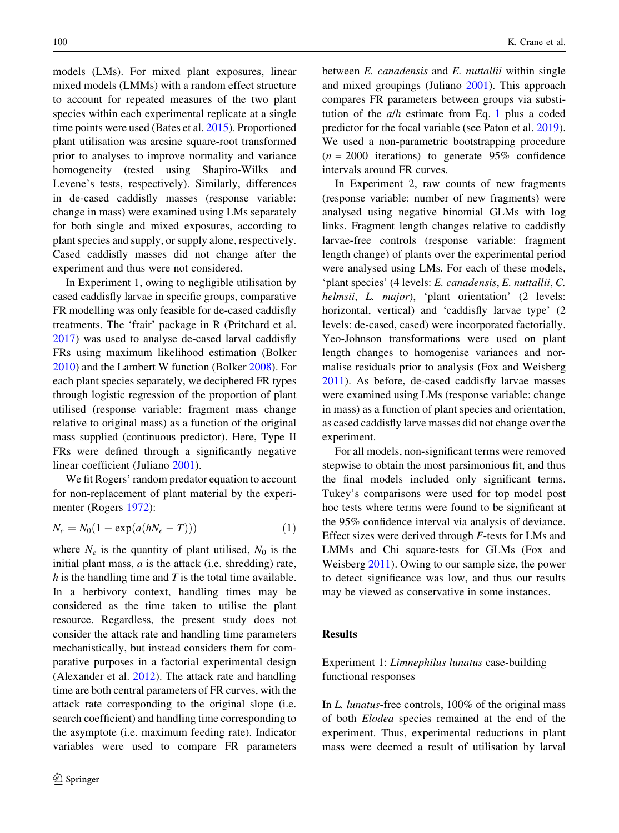models (LMs). For mixed plant exposures, linear mixed models (LMMs) with a random effect structure to account for repeated measures of the two plant species within each experimental replicate at a single time points were used (Bates et al. [2015](#page-12-0)). Proportioned plant utilisation was arcsine square-root transformed prior to analyses to improve normality and variance homogeneity (tested using Shapiro-Wilks and Levene's tests, respectively). Similarly, differences in de-cased caddisfly masses (response variable: change in mass) were examined using LMs separately for both single and mixed exposures, according to plant species and supply, or supply alone, respectively. Cased caddisfly masses did not change after the experiment and thus were not considered.

In Experiment 1, owing to negligible utilisation by cased caddisfly larvae in specific groups, comparative FR modelling was only feasible for de-cased caddisfly treatments. The 'frair' package in R (Pritchard et al. [2017\)](#page-13-0) was used to analyse de-cased larval caddisfly FRs using maximum likelihood estimation (Bolker [2010\)](#page-12-0) and the Lambert W function (Bolker [2008](#page-12-0)). For each plant species separately, we deciphered FR types through logistic regression of the proportion of plant utilised (response variable: fragment mass change relative to original mass) as a function of the original mass supplied (continuous predictor). Here, Type II FRs were defined through a significantly negative linear coefficient (Juliano [2001\)](#page-13-0).

We fit Rogers' random predator equation to account for non-replacement of plant material by the experimenter (Rogers [1972\)](#page-13-0):

$$
N_e = N_0(1 - \exp(a(hN_e - T)))\tag{1}
$$

where  $N_e$  is the quantity of plant utilised,  $N_0$  is the initial plant mass,  $a$  is the attack (i.e. shredding) rate,  $h$  is the handling time and  $T$  is the total time available. In a herbivory context, handling times may be considered as the time taken to utilise the plant resource. Regardless, the present study does not consider the attack rate and handling time parameters mechanistically, but instead considers them for comparative purposes in a factorial experimental design (Alexander et al. [2012\)](#page-12-0). The attack rate and handling time are both central parameters of FR curves, with the attack rate corresponding to the original slope (i.e. search coefficient) and handling time corresponding to the asymptote (i.e. maximum feeding rate). Indicator variables were used to compare FR parameters between *E. canadensis* and *E. nuttallii* within single and mixed groupings (Juliano [2001](#page-13-0)). This approach compares FR parameters between groups via substitution of the  $a/h$  estimate from Eq. 1 plus a coded predictor for the focal variable (see Paton et al. [2019](#page-13-0)). We used a non-parametric bootstrapping procedure  $(n = 2000$  iterations) to generate 95% confidence intervals around FR curves.

In Experiment 2, raw counts of new fragments (response variable: number of new fragments) were analysed using negative binomial GLMs with log links. Fragment length changes relative to caddisfly larvae-free controls (response variable: fragment length change) of plants over the experimental period were analysed using LMs. For each of these models, 'plant species' (4 levels: E. canadensis, E. nuttallii, C. helmsii, L. major), 'plant orientation' (2 levels: horizontal, vertical) and 'caddisfly larvae type' (2 levels: de-cased, cased) were incorporated factorially. Yeo-Johnson transformations were used on plant length changes to homogenise variances and normalise residuals prior to analysis (Fox and Weisberg [2011\)](#page-12-0). As before, de-cased caddisfly larvae masses were examined using LMs (response variable: change in mass) as a function of plant species and orientation, as cased caddisfly larve masses did not change over the experiment.

For all models, non-significant terms were removed stepwise to obtain the most parsimonious fit, and thus the final models included only significant terms. Tukey's comparisons were used for top model post hoc tests where terms were found to be significant at the 95% confidence interval via analysis of deviance. Effect sizes were derived through F-tests for LMs and LMMs and Chi square-tests for GLMs (Fox and Weisberg [2011\)](#page-12-0). Owing to our sample size, the power to detect significance was low, and thus our results may be viewed as conservative in some instances.

#### Results

# Experiment 1: Limnephilus lunatus case-building functional responses

In L. lunatus-free controls, 100% of the original mass of both Elodea species remained at the end of the experiment. Thus, experimental reductions in plant mass were deemed a result of utilisation by larval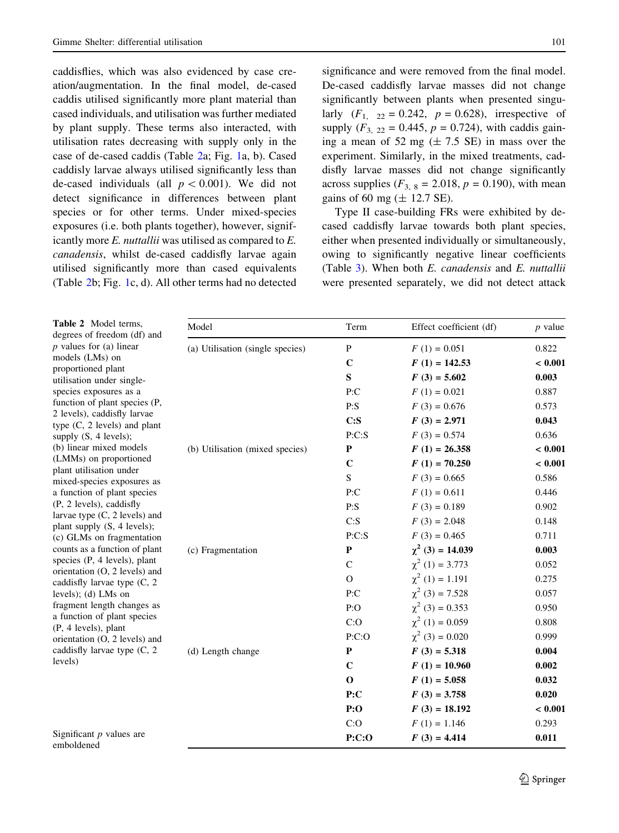caddisflies, which was also evidenced by case creation/augmentation. In the final model, de-cased caddis utilised significantly more plant material than cased individuals, and utilisation was further mediated by plant supply. These terms also interacted, with utilisation rates decreasing with supply only in the case of de-cased caddis (Table 2a; Fig. [1a](#page-7-0), b). Cased caddisly larvae always utilised significantly less than de-cased individuals (all  $p < 0.001$ ). We did not detect significance in differences between plant species or for other terms. Under mixed-species exposures (i.e. both plants together), however, significantly more E. nuttallii was utilised as compared to E. canadensis, whilst de-cased caddisfly larvae again utilised significantly more than cased equivalents (Table 2b; Fig. [1](#page-7-0)c, d). All other terms had no detected significance and were removed from the final model. De-cased caddisfly larvae masses did not change significantly between plants when presented singularly  $(F_1, 22 = 0.242, p = 0.628)$ , irrespective of supply  $(F_{3, 22} = 0.445, p = 0.724)$ , with caddis gaining a mean of 52 mg  $(\pm 7.5 \text{ SE})$  in mass over the experiment. Similarly, in the mixed treatments, caddisfly larvae masses did not change significantly across supplies  $(F_{3, 8} = 2.018, p = 0.190)$ , with mean gains of 60 mg  $(\pm 12.7 \text{ SE})$ .

Type II case-building FRs were exhibited by decased caddisfly larvae towards both plant species, either when presented individually or simultaneously, owing to significantly negative linear coefficients (Table [3](#page-7-0)). When both E. canadensis and E. nuttallii were presented separately, we did not detect attack

| Table 2 Model terms,<br>degrees of freedom (df) and             | Model                                                                                                                                                                                                                                                                                                                                                                                                                                                                   | Term        | Effect coefficient (df) | $p$ value |
|-----------------------------------------------------------------|-------------------------------------------------------------------------------------------------------------------------------------------------------------------------------------------------------------------------------------------------------------------------------------------------------------------------------------------------------------------------------------------------------------------------------------------------------------------------|-------------|-------------------------|-----------|
| $p$ values for (a) linear                                       | (a) Utilisation (single species)                                                                                                                                                                                                                                                                                                                                                                                                                                        | ${\bf P}$   | $F(1) = 0.051$          | 0.822     |
| models (LMs) on                                                 |                                                                                                                                                                                                                                                                                                                                                                                                                                                                         | $\mathbf C$ | $F(1) = 142.53$         | < 0.001   |
| proportioned plant<br>utilisation under single-                 |                                                                                                                                                                                                                                                                                                                                                                                                                                                                         | $\mathbf S$ | $F(3) = 5.602$          | 0.003     |
| species exposures as a                                          |                                                                                                                                                                                                                                                                                                                                                                                                                                                                         | P:C         | $F(1) = 0.021$          | 0.887     |
| function of plant species (P,                                   |                                                                                                                                                                                                                                                                                                                                                                                                                                                                         | P: S        | $F(3) = 0.676$          | 0.573     |
| 2 levels), caddisfly larvae                                     |                                                                                                                                                                                                                                                                                                                                                                                                                                                                         | C: S        | $F(3) = 2.971$          | 0.043     |
| type $(C, 2$ levels) and plant<br>supply $(S, 4$ levels);       |                                                                                                                                                                                                                                                                                                                                                                                                                                                                         | P: C: S     | $F(3) = 0.574$          | 0.636     |
| (b) linear mixed models                                         | (b) Utilisation (mixed species)                                                                                                                                                                                                                                                                                                                                                                                                                                         | ${\bf P}$   | $F(1) = 26.358$         | < 0.001   |
| (LMMs) on proportioned                                          |                                                                                                                                                                                                                                                                                                                                                                                                                                                                         | $\mathbf C$ | $F(1) = 70.250$         | < 0.001   |
| plant utilisation under<br>mixed-species exposures as           |                                                                                                                                                                                                                                                                                                                                                                                                                                                                         | ${\bf S}$   | $F(3) = 0.665$          | 0.586     |
| a function of plant species                                     |                                                                                                                                                                                                                                                                                                                                                                                                                                                                         | P:C         | $F(1) = 0.611$          | 0.446     |
| (P, 2 levels), caddisfly                                        |                                                                                                                                                                                                                                                                                                                                                                                                                                                                         | P: S        | $F(3) = 0.189$          | 0.902     |
| larvae type $(C, 2$ levels) and                                 |                                                                                                                                                                                                                                                                                                                                                                                                                                                                         | C: S        | $F(3) = 2.048$          | 0.148     |
| plant supply (S, 4 levels);<br>(c) GLMs on fragmentation        |                                                                                                                                                                                                                                                                                                                                                                                                                                                                         | P: C: S     | $F(3) = 0.465$          | 0.711     |
| counts as a function of plant                                   | $\chi^2$ (3) = 14.039<br>${\bf P}$<br>(c) Fragmentation<br>$\chi^2$ (1) = 3.773<br>$\mathcal{C}$<br>$\chi^2$ (1) = 1.191<br>$\Omega$<br>$\chi^2$ (3) = 7.528<br>P:C<br>$\chi^2$ (3) = 0.353<br>P:O<br>$\chi^2$ (1) = 0.059<br>C:O<br>$\chi^2$ (3) = 0.020<br>P: C: O<br>${\bf P}$<br>$F(3) = 5.318$<br>(d) Length change<br>$\mathbf C$<br>$F(1) = 10.960$<br>$\mathbf 0$<br>$F(1) = 5.058$<br>P:C<br>$F(3) = 3.758$<br>P:O<br>$F(3) = 18.192$<br>C:O<br>$F(1) = 1.146$ |             |                         | 0.003     |
| species (P, 4 levels), plant                                    |                                                                                                                                                                                                                                                                                                                                                                                                                                                                         |             |                         | 0.052     |
| orientation (O, 2 levels) and<br>caddisfly larvae type $(C, 2)$ |                                                                                                                                                                                                                                                                                                                                                                                                                                                                         |             |                         | 0.275     |
| levels); (d) $LMs$ on                                           |                                                                                                                                                                                                                                                                                                                                                                                                                                                                         |             |                         | 0.057     |
| fragment length changes as                                      |                                                                                                                                                                                                                                                                                                                                                                                                                                                                         |             | 0.950                   |           |
| a function of plant species                                     |                                                                                                                                                                                                                                                                                                                                                                                                                                                                         |             | 0.808                   |           |
| $(P, 4 levels)$ , plant<br>orientation (O, 2 levels) and        |                                                                                                                                                                                                                                                                                                                                                                                                                                                                         | 0.999       |                         |           |
| caddisfly larvae type (C, 2                                     |                                                                                                                                                                                                                                                                                                                                                                                                                                                                         |             |                         | 0.004     |
| levels)                                                         |                                                                                                                                                                                                                                                                                                                                                                                                                                                                         |             | 0.002                   |           |
|                                                                 |                                                                                                                                                                                                                                                                                                                                                                                                                                                                         |             |                         | 0.032     |
|                                                                 |                                                                                                                                                                                                                                                                                                                                                                                                                                                                         |             |                         | 0.020     |
|                                                                 |                                                                                                                                                                                                                                                                                                                                                                                                                                                                         |             |                         | < 0.001   |
|                                                                 |                                                                                                                                                                                                                                                                                                                                                                                                                                                                         |             |                         | 0.293     |
| Significant $p$ values are<br>emboldened                        |                                                                                                                                                                                                                                                                                                                                                                                                                                                                         | P: C: O     | $F(3) = 4.414$          | 0.011     |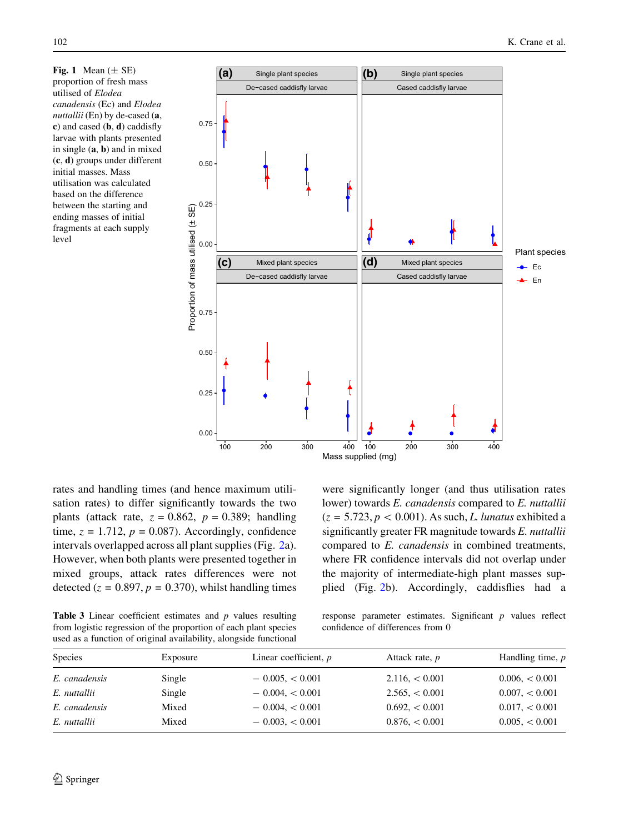Fig. 1 Mean  $(\pm$  SE) proportion of fresh mass utilised of Elodea canadensis (Ec) and Elodea nuttallii (En) by de-cased (a, c) and cased (b, d) caddisfly larvae with plants presented in single (a, b) and in mixed (c, d) groups under different initial masses. Mass utilisation was calculated based on the difference between the starting and ending masses of initial fragments at each supply level

<span id="page-7-0"></span>

rates and handling times (and hence maximum utilisation rates) to differ significantly towards the two plants (attack rate,  $z = 0.862$ ,  $p = 0.389$ ; handling time,  $z = 1.712$ ,  $p = 0.087$ ). Accordingly, confidence intervals overlapped across all plant supplies (Fig. [2a](#page-8-0)). However, when both plants were presented together in mixed groups, attack rates differences were not detected ( $z = 0.897$ ,  $p = 0.370$ ), whilst handling times were significantly longer (and thus utilisation rates lower) towards E. canadensis compared to E. nuttallii  $(z = 5.723, p < 0.001)$ . As such, L. lunatus exhibited a significantly greater FR magnitude towards E. nuttallii compared to E. canadensis in combined treatments, where FR confidence intervals did not overlap under the majority of intermediate-high plant masses supplied (Fig. [2](#page-8-0)b). Accordingly, caddisflies had a

**Table 3** Linear coefficient estimates and  $p$  values resulting from logistic regression of the proportion of each plant species used as a function of original availability, alongside functional

response parameter estimates. Significant  $p$  values reflect confidence of differences from 0

| <b>Species</b> | Exposure | Linear coefficient, $p$ | Attack rate, <i>p</i> | Handling time, p |  |
|----------------|----------|-------------------------|-----------------------|------------------|--|
|                |          |                         |                       |                  |  |
| E. canadensis  | Single   | $-0.005, < 0.001$       | 2.116 < 0.001         | 0.006 < 0.001    |  |
| E. nuttallii   | Single   | $-0.004, < 0.001$       | $2.565 \leq 0.001$    | 0.007 < 0.001    |  |
| E. canadensis  | Mixed    | $-0.004, < 0.001$       | 0.692, < 0.001        | 0.017 < 0.001    |  |
| E. nuttallii   | Mixed    | $-0.003, < 0.001$       | 0.876 < 0.001         | 0.005 < 0.001    |  |
|                |          |                         |                       |                  |  |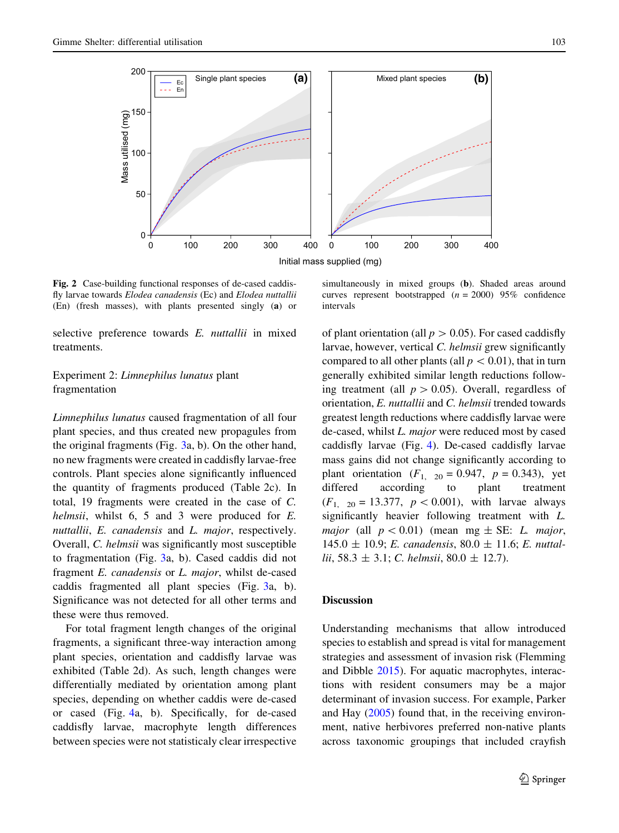<span id="page-8-0"></span>

Fig. 2 Case-building functional responses of de-cased caddisfly larvae towards Elodea canadensis (Ec) and Elodea nuttallii (En) (fresh masses), with plants presented singly (a) or

selective preference towards E. nuttallii in mixed treatments.

# Experiment 2: Limnephilus lunatus plant fragmentation

Limnephilus lunatus caused fragmentation of all four plant species, and thus created new propagules from the original fragments (Fig. [3](#page-9-0)a, b). On the other hand, no new fragments were created in caddisfly larvae-free controls. Plant species alone significantly influenced the quantity of fragments produced (Table 2c). In total, 19 fragments were created in the case of C. helmsii, whilst 6, 5 and 3 were produced for E. nuttallii, E. canadensis and L. major, respectively. Overall, C. helmsii was significantly most susceptible to fragmentation (Fig. [3a](#page-9-0), b). Cased caddis did not fragment E. canadensis or L. major, whilst de-cased caddis fragmented all plant species (Fig. [3a](#page-9-0), b). Significance was not detected for all other terms and these were thus removed.

For total fragment length changes of the original fragments, a significant three-way interaction among plant species, orientation and caddisfly larvae was exhibited (Table 2d). As such, length changes were differentially mediated by orientation among plant species, depending on whether caddis were de-cased or cased (Fig. [4](#page-9-0)a, b). Specifically, for de-cased caddisfly larvae, macrophyte length differences between species were not statisticaly clear irrespective

simultaneously in mixed groups (b). Shaded areas around curves represent bootstrapped  $(n = 2000)$  95% confidence intervals

of plant orientation (all  $p > 0.05$ ). For cased caddisfly larvae, however, vertical C. helmsii grew significantly compared to all other plants (all  $p < 0.01$ ), that in turn generally exhibited similar length reductions following treatment (all  $p > 0.05$ ). Overall, regardless of orientation, E. nuttallii and C. helmsii trended towards greatest length reductions where caddisfly larvae were de-cased, whilst L. major were reduced most by cased caddisfly larvae (Fig. [4](#page-9-0)). De-cased caddisfly larvae mass gains did not change significantly according to plant orientation  $(F_{1, 20} = 0.947, p = 0.343)$ , yet<br>differed according to plant treatment according to plant treatment  $(F_1, p_0 = 13.377, p < 0.001)$ , with larvae always significantly heavier following treatment with L. major (all  $p < 0.01$ ) (mean mg  $\pm$  SE: *L. major*,  $145.0 \pm 10.9$ ; E. canadensis,  $80.0 \pm 11.6$ ; E. nuttallii, 58.3  $\pm$  3.1; C. helmsii, 80.0  $\pm$  12.7).

## **Discussion**

Understanding mechanisms that allow introduced species to establish and spread is vital for management strategies and assessment of invasion risk (Flemming and Dibble [2015](#page-12-0)). For aquatic macrophytes, interactions with resident consumers may be a major determinant of invasion success. For example, Parker and Hay ([2005\)](#page-13-0) found that, in the receiving environment, native herbivores preferred non-native plants across taxonomic groupings that included crayfish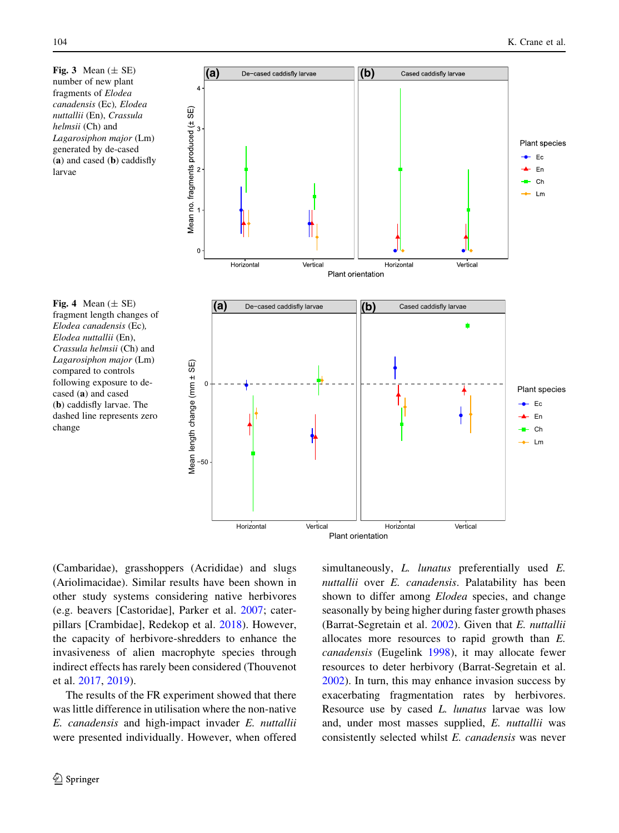number of new plant fragments of Elodea canadensis (Ec), Elodea nuttallii (En), Crassula helmsii (Ch) and Lagarosiphon major (Lm) generated by de-cased (a) and cased (b) caddisfly larvae

<span id="page-9-0"></span>

fragment length changes of Elodea canadensis (Ec), Elodea nuttallii (En), Crassula helmsii (Ch) and Lagarosiphon major (Lm) compared to controls following exposure to decased (a) and cased (b) caddisfly larvae. The dashed line represents zero change

(Cambaridae), grasshoppers (Acrididae) and slugs (Ariolimacidae). Similar results have been shown in other study systems considering native herbivores (e.g. beavers [Castoridae], Parker et al. [2007;](#page-13-0) caterpillars [Crambidae], Redekop et al. [2018](#page-13-0)). However, the capacity of herbivore-shredders to enhance the invasiveness of alien macrophyte species through indirect effects has rarely been considered (Thouvenot et al. [2017](#page-14-0), [2019\)](#page-14-0).

The results of the FR experiment showed that there was little difference in utilisation where the non-native E. canadensis and high-impact invader E. nuttallii were presented individually. However, when offered

 $\circledcirc$  Springer

simultaneously, *L. lunatus* preferentially used *E.* nuttallii over E. canadensis. Palatability has been shown to differ among *Elodea* species, and change seasonally by being higher during faster growth phases (Barrat-Segretain et al. [2002](#page-12-0)). Given that E. nuttallii allocates more resources to rapid growth than E. canadensis (Eugelink [1998](#page-12-0)), it may allocate fewer resources to deter herbivory (Barrat-Segretain et al. [2002\)](#page-12-0). In turn, this may enhance invasion success by exacerbating fragmentation rates by herbivores. Resource use by cased L. lunatus larvae was low and, under most masses supplied, E. nuttallii was consistently selected whilst E. canadensis was never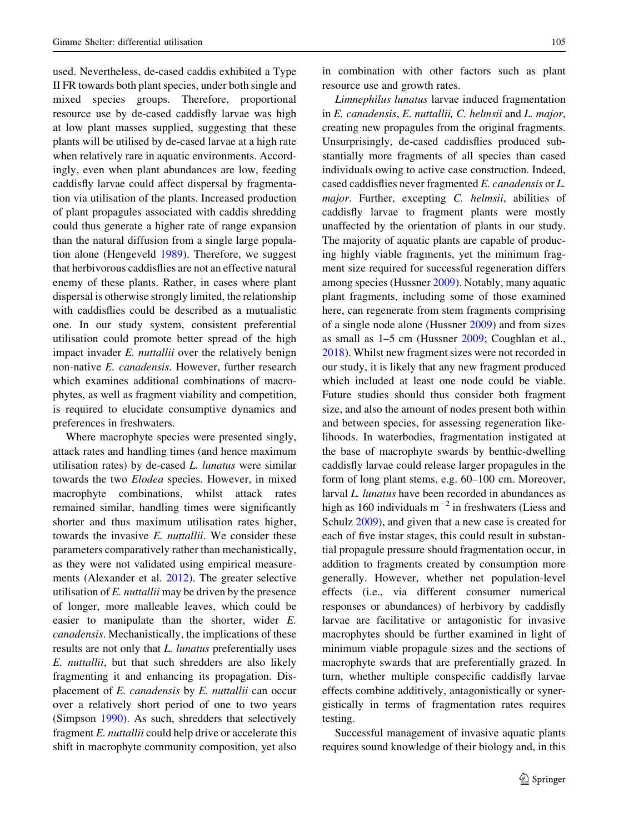used. Nevertheless, de-cased caddis exhibited a Type II FR towards both plant species, under both single and mixed species groups. Therefore, proportional resource use by de-cased caddisfly larvae was high at low plant masses supplied, suggesting that these plants will be utilised by de-cased larvae at a high rate when relatively rare in aquatic environments. Accordingly, even when plant abundances are low, feeding caddisfly larvae could affect dispersal by fragmentation via utilisation of the plants. Increased production of plant propagules associated with caddis shredding could thus generate a higher rate of range expansion than the natural diffusion from a single large population alone (Hengeveld [1989\)](#page-12-0). Therefore, we suggest that herbivorous caddisflies are not an effective natural enemy of these plants. Rather, in cases where plant dispersal is otherwise strongly limited, the relationship with caddisflies could be described as a mutualistic one. In our study system, consistent preferential utilisation could promote better spread of the high impact invader *E. nuttallii* over the relatively benign non-native E. canadensis. However, further research which examines additional combinations of macrophytes, as well as fragment viability and competition, is required to elucidate consumptive dynamics and preferences in freshwaters.

Where macrophyte species were presented singly, attack rates and handling times (and hence maximum utilisation rates) by de-cased L. lunatus were similar towards the two Elodea species. However, in mixed macrophyte combinations, whilst attack rates remained similar, handling times were significantly shorter and thus maximum utilisation rates higher, towards the invasive E. nuttallii. We consider these parameters comparatively rather than mechanistically, as they were not validated using empirical measurements (Alexander et al. [2012](#page-12-0)). The greater selective utilisation of  $E$ . *nuttallii* may be driven by the presence of longer, more malleable leaves, which could be easier to manipulate than the shorter, wider E. canadensis. Mechanistically, the implications of these results are not only that L. lunatus preferentially uses E. nuttallii, but that such shredders are also likely fragmenting it and enhancing its propagation. Displacement of E. canadensis by E. nuttallii can occur over a relatively short period of one to two years (Simpson [1990\)](#page-14-0). As such, shredders that selectively fragment E. nuttallii could help drive or accelerate this shift in macrophyte community composition, yet also in combination with other factors such as plant resource use and growth rates.

Limnephilus lunatus larvae induced fragmentation in E. canadensis, E. nuttallii, C. helmsii and L. major, creating new propagules from the original fragments. Unsurprisingly, de-cased caddisflies produced substantially more fragments of all species than cased individuals owing to active case construction. Indeed, cased caddisflies never fragmented E. canadensis or L. major. Further, excepting C. helmsii, abilities of caddisfly larvae to fragment plants were mostly unaffected by the orientation of plants in our study. The majority of aquatic plants are capable of producing highly viable fragments, yet the minimum fragment size required for successful regeneration differs among species (Hussner [2009\)](#page-13-0). Notably, many aquatic plant fragments, including some of those examined here, can regenerate from stem fragments comprising of a single node alone (Hussner [2009](#page-13-0)) and from sizes as small as 1–5 cm (Hussner [2009](#page-13-0); Coughlan et al., [2018\)](#page-12-0). Whilst new fragment sizes were not recorded in our study, it is likely that any new fragment produced which included at least one node could be viable. Future studies should thus consider both fragment size, and also the amount of nodes present both within and between species, for assessing regeneration likelihoods. In waterbodies, fragmentation instigated at the base of macrophyte swards by benthic-dwelling caddisfly larvae could release larger propagules in the form of long plant stems, e.g. 60–100 cm. Moreover, larval L. lunatus have been recorded in abundances as high as 160 individuals  $m^{-2}$  in freshwaters (Liess and Schulz [2009\)](#page-13-0), and given that a new case is created for each of five instar stages, this could result in substantial propagule pressure should fragmentation occur, in addition to fragments created by consumption more generally. However, whether net population-level effects (i.e., via different consumer numerical responses or abundances) of herbivory by caddisfly larvae are facilitative or antagonistic for invasive macrophytes should be further examined in light of minimum viable propagule sizes and the sections of macrophyte swards that are preferentially grazed. In turn, whether multiple conspecific caddisfly larvae effects combine additively, antagonistically or synergistically in terms of fragmentation rates requires testing.

Successful management of invasive aquatic plants requires sound knowledge of their biology and, in this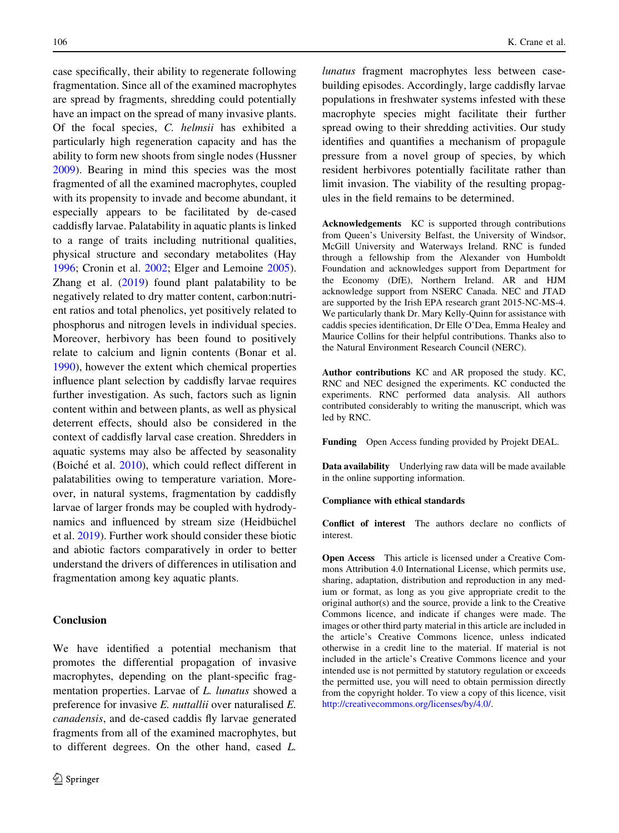case specifically, their ability to regenerate following fragmentation. Since all of the examined macrophytes are spread by fragments, shredding could potentially have an impact on the spread of many invasive plants. Of the focal species, C. helmsii has exhibited a particularly high regeneration capacity and has the ability to form new shoots from single nodes (Hussner [2009\)](#page-13-0). Bearing in mind this species was the most fragmented of all the examined macrophytes, coupled with its propensity to invade and become abundant, it especially appears to be facilitated by de-cased caddisfly larvae. Palatability in aquatic plants is linked to a range of traits including nutritional qualities, physical structure and secondary metabolites (Hay [1996;](#page-12-0) Cronin et al. [2002](#page-12-0); Elger and Lemoine [2005](#page-12-0)). Zhang et al. ([2019\)](#page-14-0) found plant palatability to be negatively related to dry matter content, carbon:nutrient ratios and total phenolics, yet positively related to phosphorus and nitrogen levels in individual species. Moreover, herbivory has been found to positively relate to calcium and lignin contents (Bonar et al. [1990\)](#page-12-0), however the extent which chemical properties influence plant selection by caddisfly larvae requires further investigation. As such, factors such as lignin content within and between plants, as well as physical deterrent effects, should also be considered in the context of caddisfly larval case creation. Shredders in aquatic systems may also be affected by seasonality (Boiché et al. [2010\)](#page-12-0), which could reflect different in palatabilities owing to temperature variation. Moreover, in natural systems, fragmentation by caddisfly larvae of larger fronds may be coupled with hydrodynamics and influenced by stream size (Heidbüchel et al. [2019](#page-12-0)). Further work should consider these biotic and abiotic factors comparatively in order to better understand the drivers of differences in utilisation and fragmentation among key aquatic plants.

## Conclusion

We have identified a potential mechanism that promotes the differential propagation of invasive macrophytes, depending on the plant-specific fragmentation properties. Larvae of L. lunatus showed a preference for invasive E. nuttallii over naturalised E. canadensis, and de-cased caddis fly larvae generated fragments from all of the examined macrophytes, but to different degrees. On the other hand, cased L.

lunatus fragment macrophytes less between casebuilding episodes. Accordingly, large caddisfly larvae populations in freshwater systems infested with these macrophyte species might facilitate their further spread owing to their shredding activities. Our study identifies and quantifies a mechanism of propagule pressure from a novel group of species, by which resident herbivores potentially facilitate rather than limit invasion. The viability of the resulting propagules in the field remains to be determined.

Acknowledgements KC is supported through contributions from Queen's University Belfast, the University of Windsor, McGill University and Waterways Ireland. RNC is funded through a fellowship from the Alexander von Humboldt Foundation and acknowledges support from Department for the Economy (DfE), Northern Ireland. AR and HJM acknowledge support from NSERC Canada. NEC and JTAD are supported by the Irish EPA research grant 2015-NC-MS-4. We particularly thank Dr. Mary Kelly-Quinn for assistance with caddis species identification, Dr Elle O'Dea, Emma Healey and Maurice Collins for their helpful contributions. Thanks also to the Natural Environment Research Council (NERC).

Author contributions KC and AR proposed the study. KC, RNC and NEC designed the experiments. KC conducted the experiments. RNC performed data analysis. All authors contributed considerably to writing the manuscript, which was led by RNC.

Funding Open Access funding provided by Projekt DEAL.

Data availability Underlying raw data will be made available in the online supporting information.

#### Compliance with ethical standards

Conflict of interest The authors declare no conflicts of interest.

Open Access This article is licensed under a Creative Commons Attribution 4.0 International License, which permits use, sharing, adaptation, distribution and reproduction in any medium or format, as long as you give appropriate credit to the original author(s) and the source, provide a link to the Creative Commons licence, and indicate if changes were made. The images or other third party material in this article are included in the article's Creative Commons licence, unless indicated otherwise in a credit line to the material. If material is not included in the article's Creative Commons licence and your intended use is not permitted by statutory regulation or exceeds the permitted use, you will need to obtain permission directly from the copyright holder. To view a copy of this licence, visit <http://creativecommons.org/licenses/by/4.0/>.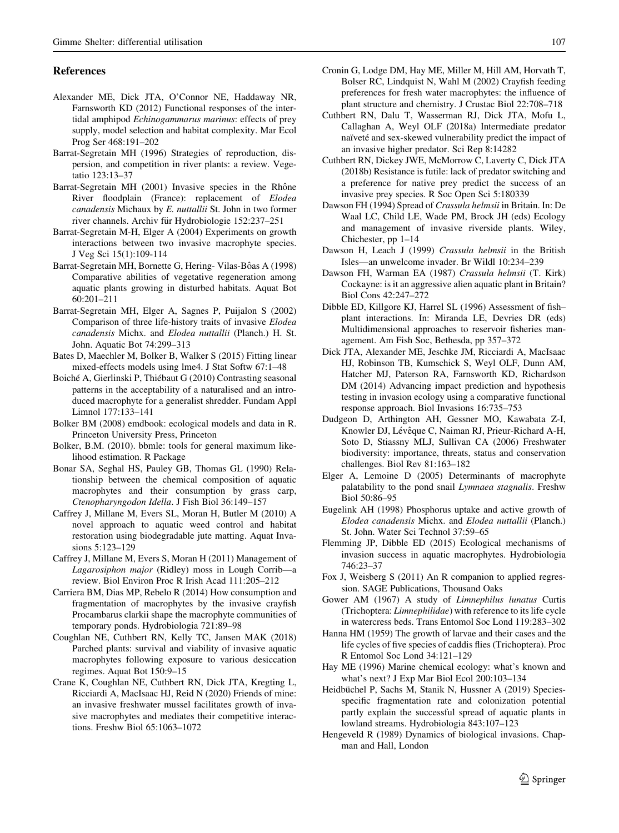## <span id="page-12-0"></span>References

- Alexander ME, Dick JTA, O'Connor NE, Haddaway NR, Farnsworth KD (2012) Functional responses of the intertidal amphipod Echinogammarus marinus: effects of prey supply, model selection and habitat complexity. Mar Ecol Prog Ser 468:191–202
- Barrat-Segretain MH (1996) Strategies of reproduction, dispersion, and competition in river plants: a review. Vegetatio 123:13–37
- Barrat-Segretain MH (2001) Invasive species in the Rhône River floodplain (France): replacement of Elodea canadensis Michaux by E. nuttallii St. John in two former river channels. Archiv für Hydrobiologie 152:237–251
- Barrat-Segretain M-H, Elger A (2004) Experiments on growth interactions between two invasive macrophyte species. J Veg Sci 15(1):109-114
- Barrat-Segretain MH, Bornette G, Hering- Vilas-Bôas A (1998) Comparative abilities of vegetative regeneration among aquatic plants growing in disturbed habitats. Aquat Bot 60:201–211
- Barrat-Segretain MH, Elger A, Sagnes P, Puijalon S (2002) Comparison of three life-history traits of invasive Elodea canadensis Michx. and Elodea nuttallii (Planch.) H. St. John. Aquatic Bot 74:299–313
- Bates D, Maechler M, Bolker B, Walker S (2015) Fitting linear mixed-effects models using lme4. J Stat Softw 67:1–48
- Boiché A, Gierlinski P, Thiébaut G (2010) Contrasting seasonal patterns in the acceptability of a naturalised and an introduced macrophyte for a generalist shredder. Fundam Appl Limnol 177:133–141
- Bolker BM (2008) emdbook: ecological models and data in R. Princeton University Press, Princeton
- Bolker, B.M. (2010). bbmle: tools for general maximum likelihood estimation. R Package
- Bonar SA, Seghal HS, Pauley GB, Thomas GL (1990) Relationship between the chemical composition of aquatic macrophytes and their consumption by grass carp, Ctenopharyngodon Idella. J Fish Biol 36:149–157
- Caffrey J, Millane M, Evers SL, Moran H, Butler M (2010) A novel approach to aquatic weed control and habitat restoration using biodegradable jute matting. Aquat Invasions 5:123–129
- Caffrey J, Millane M, Evers S, Moran H (2011) Management of Lagarosiphon major (Ridley) moss in Lough Corribreview. Biol Environ Proc R Irish Acad 111:205–212
- Carriera BM, Dias MP, Rebelo R (2014) How consumption and fragmentation of macrophytes by the invasive crayfish Procambarus clarkii shape the macrophyte communities of temporary ponds. Hydrobiologia 721:89–98
- Coughlan NE, Cuthbert RN, Kelly TC, Jansen MAK (2018) Parched plants: survival and viability of invasive aquatic macrophytes following exposure to various desiccation regimes. Aquat Bot 150:9–15
- Crane K, Coughlan NE, Cuthbert RN, Dick JTA, Kregting L, Ricciardi A, MacIsaac HJ, Reid N (2020) Friends of mine: an invasive freshwater mussel facilitates growth of invasive macrophytes and mediates their competitive interactions. Freshw Biol 65:1063–1072
- Cronin G, Lodge DM, Hay ME, Miller M, Hill AM, Horvath T, Bolser RC, Lindquist N, Wahl M (2002) Crayfish feeding preferences for fresh water macrophytes: the influence of plant structure and chemistry. J Crustac Biol 22:708–718
- Cuthbert RN, Dalu T, Wasserman RJ, Dick JTA, Mofu L, Callaghan A, Weyl OLF (2018a) Intermediate predator naïveté and sex-skewed vulnerability predict the impact of an invasive higher predator. Sci Rep 8:14282
- Cuthbert RN, Dickey JWE, McMorrow C, Laverty C, Dick JTA (2018b) Resistance is futile: lack of predator switching and a preference for native prey predict the success of an invasive prey species. R Soc Open Sci 5:180339
- Dawson FH (1994) Spread of Crassula helmsii in Britain. In: De Waal LC, Child LE, Wade PM, Brock JH (eds) Ecology and management of invasive riverside plants. Wiley, Chichester, pp 1–14
- Dawson H, Leach J (1999) Crassula helmsii in the British Isles—an unwelcome invader. Br Wildl 10:234–239
- Dawson FH, Warman EA (1987) Crassula helmsii (T. Kirk) Cockayne: is it an aggressive alien aquatic plant in Britain? Biol Cons 42:247–272
- Dibble ED, Killgore KJ, Harrel SL (1996) Assessment of fish– plant interactions. In: Miranda LE, Devries DR (eds) Multidimensional approaches to reservoir fisheries management. Am Fish Soc, Bethesda, pp 357–372
- Dick JTA, Alexander ME, Jeschke JM, Ricciardi A, MacIsaac HJ, Robinson TB, Kumschick S, Weyl OLF, Dunn AM, Hatcher MJ, Paterson RA, Farnsworth KD, Richardson DM (2014) Advancing impact prediction and hypothesis testing in invasion ecology using a comparative functional response approach. Biol Invasions 16:735–753
- Dudgeon D, Arthington AH, Gessner MO, Kawabata Z-I, Knowler DJ, Lévêque C, Naiman RJ, Prieur-Richard A-H, Soto D, Stiassny MLJ, Sullivan CA (2006) Freshwater biodiversity: importance, threats, status and conservation challenges. Biol Rev 81:163–182
- Elger A, Lemoine D (2005) Determinants of macrophyte palatability to the pond snail Lymnaea stagnalis. Freshw Biol 50:86–95
- Eugelink AH (1998) Phosphorus uptake and active growth of Elodea canadensis Michx. and Elodea nuttallii (Planch.) St. John. Water Sci Technol 37:59–65
- Flemming JP, Dibble ED (2015) Ecological mechanisms of invasion success in aquatic macrophytes. Hydrobiologia 746:23–37
- Fox J, Weisberg S (2011) An R companion to applied regression. SAGE Publications, Thousand Oaks
- Gower AM (1967) A study of Limnephilus lunatus Curtis (Trichoptera: Limnephilidae) with reference to its life cycle in watercress beds. Trans Entomol Soc Lond 119:283–302
- Hanna HM (1959) The growth of larvae and their cases and the life cycles of five species of caddis flies (Trichoptera). Proc R Entomol Soc Lond 34:121–129
- Hay ME (1996) Marine chemical ecology: what's known and what's next? J Exp Mar Biol Ecol 200:103–134
- Heidbüchel P, Sachs M, Stanik N, Hussner A (2019) Speciesspecific fragmentation rate and colonization potential partly explain the successful spread of aquatic plants in lowland streams. Hydrobiologia 843:107–123
- Hengeveld R (1989) Dynamics of biological invasions. Chapman and Hall, London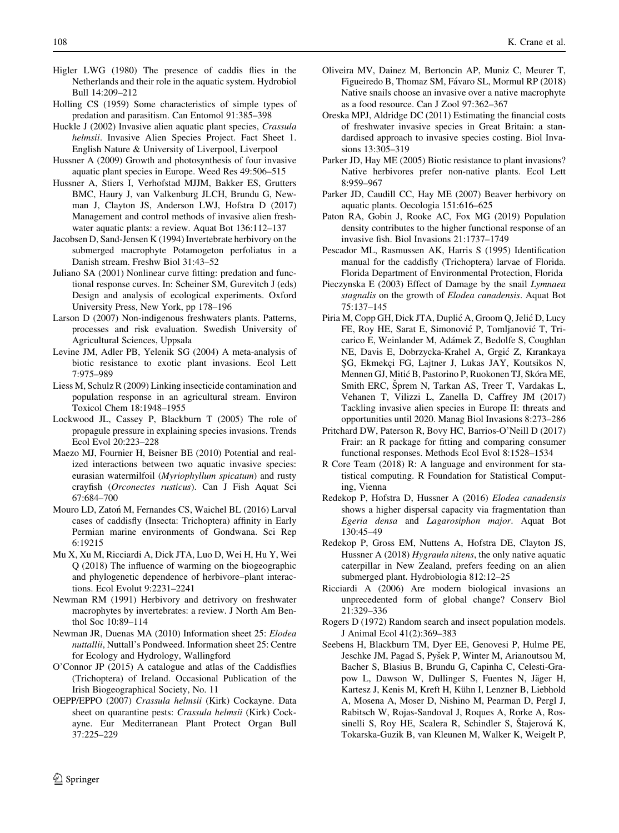- <span id="page-13-0"></span>Higler LWG (1980) The presence of caddis flies in the Netherlands and their role in the aquatic system. Hydrobiol Bull 14:209–212
- Holling CS (1959) Some characteristics of simple types of predation and parasitism. Can Entomol 91:385–398
- Huckle J (2002) Invasive alien aquatic plant species, Crassula helmsii. Invasive Alien Species Project. Fact Sheet 1. English Nature & University of Liverpool, Liverpool
- Hussner A (2009) Growth and photosynthesis of four invasive aquatic plant species in Europe. Weed Res 49:506–515
- Hussner A, Stiers I, Verhofstad MJJM, Bakker ES, Grutters BMC, Haury J, van Valkenburg JLCH, Brundu G, Newman J, Clayton JS, Anderson LWJ, Hofstra D (2017) Management and control methods of invasive alien freshwater aquatic plants: a review. Aquat Bot 136:112–137
- Jacobsen D, Sand-Jensen K (1994) Invertebrate herbivory on the submerged macrophyte Potamogeton perfoliatus in a Danish stream. Freshw Biol 31:43–52
- Juliano SA (2001) Nonlinear curve fitting: predation and functional response curves. In: Scheiner SM, Gurevitch J (eds) Design and analysis of ecological experiments. Oxford University Press, New York, pp 178–196
- Larson D (2007) Non-indigenous freshwaters plants. Patterns, processes and risk evaluation. Swedish University of Agricultural Sciences, Uppsala
- Levine JM, Adler PB, Yelenik SG (2004) A meta-analysis of biotic resistance to exotic plant invasions. Ecol Lett 7:975–989
- Liess M, Schulz R (2009) Linking insecticide contamination and population response in an agricultural stream. Environ Toxicol Chem 18:1948–1955
- Lockwood JL, Cassey P, Blackburn T (2005) The role of propagule pressure in explaining species invasions. Trends Ecol Evol 20:223–228
- Maezo MJ, Fournier H, Beisner BE (2010) Potential and realized interactions between two aquatic invasive species: eurasian watermilfoil (Myriophyllum spicatum) and rusty crayfish (Orconectes rusticus). Can J Fish Aquat Sci 67:684–700
- Mouro LD, Zatoń M, Fernandes CS, Waichel BL (2016) Larval cases of caddisfly (Insecta: Trichoptera) affinity in Early Permian marine environments of Gondwana. Sci Rep 6:19215
- Mu X, Xu M, Ricciardi A, Dick JTA, Luo D, Wei H, Hu Y, Wei Q (2018) The influence of warming on the biogeographic and phylogenetic dependence of herbivore–plant interactions. Ecol Evolut 9:2231–2241
- Newman RM (1991) Herbivory and detrivory on freshwater macrophytes by invertebrates: a review. J North Am Benthol Soc 10:89–114
- Newman JR, Duenas MA (2010) Information sheet 25: Elodea nuttallii, Nuttall's Pondweed. Information sheet 25: Centre for Ecology and Hydrology, Wallingford
- O'Connor JP (2015) A catalogue and atlas of the Caddisflies (Trichoptera) of Ireland. Occasional Publication of the Irish Biogeographical Society, No. 11
- OEPP/EPPO (2007) Crassula helmsii (Kirk) Cockayne. Data sheet on quarantine pests: Crassula helmsii (Kirk) Cockayne. Eur Mediterranean Plant Protect Organ Bull 37:225–229
- Oliveira MV, Dainez M, Bertoncin AP, Muniz C, Meurer T, Figueiredo B, Thomaz SM, Fávaro SL, Mormul RP (2018) Native snails choose an invasive over a native macrophyte as a food resource. Can J Zool 97:362–367
- Oreska MPJ, Aldridge DC (2011) Estimating the financial costs of freshwater invasive species in Great Britain: a standardised approach to invasive species costing. Biol Invasions 13:305–319
- Parker JD, Hay ME (2005) Biotic resistance to plant invasions? Native herbivores prefer non-native plants. Ecol Lett 8:959–967
- Parker JD, Caudill CC, Hay ME (2007) Beaver herbivory on aquatic plants. Oecologia 151:616–625
- Paton RA, Gobin J, Rooke AC, Fox MG (2019) Population density contributes to the higher functional response of an invasive fish. Biol Invasions 21:1737–1749
- Pescador ML, Rasmussen AK, Harris S (1995) Identification manual for the caddisfly (Trichoptera) larvae of Florida. Florida Department of Environmental Protection, Florida
- Pieczynska E (2003) Effect of Damage by the snail Lymnaea stagnalis on the growth of Elodea canadensis. Aquat Bot 75:137–145
- Piria M, Copp GH, Dick JTA, Duplić A, Groom Q, Jelić D, Lucy FE, Roy HE, Sarat E, Simonović P, Tomljanović T, Tricarico E, Weinlander M, Ada´mek Z, Bedolfe S, Coughlan NE, Davis E, Dobrzycka-Krahel A, Grgic´ Z, Kırankaya ŞG, Ekmekçi FG, Lajtner J, Lukas JAY, Koutsikos N, Mennen GJ, Mitić B, Pastorino P, Ruokonen TJ, Skóra ME, Smith ERC, Sprem N, Tarkan AS, Treer T, Vardakas L, Vehanen T, Vilizzi L, Zanella D, Caffrey JM (2017) Tackling invasive alien species in Europe II: threats and opportunities until 2020. Manag Biol Invasions 8:273–286
- Pritchard DW, Paterson R, Bovy HC, Barrios-O'Neill D (2017) Frair: an R package for fitting and comparing consumer functional responses. Methods Ecol Evol 8:1528–1534
- R Core Team (2018) R: A language and environment for statistical computing. R Foundation for Statistical Computing, Vienna
- Redekop P, Hofstra D, Hussner A (2016) Elodea canadensis shows a higher dispersal capacity via fragmentation than Egeria densa and Lagarosiphon major. Aquat Bot 130:45–49
- Redekop P, Gross EM, Nuttens A, Hofstra DE, Clayton JS, Hussner A (2018) Hygraula nitens, the only native aquatic caterpillar in New Zealand, prefers feeding on an alien submerged plant. Hydrobiologia 812:12–25
- Ricciardi A (2006) Are modern biological invasions an unprecedented form of global change? Conserv Biol 21:329–336
- Rogers D (1972) Random search and insect population models. J Animal Ecol 41(2):369–383
- Seebens H, Blackburn TM, Dyer EE, Genovesi P, Hulme PE, Jeschke JM, Pagad S, Pyšek P, Winter M, Arianoutsou M, Bacher S, Blasius B, Brundu G, Capinha C, Celesti-Grapow L, Dawson W, Dullinger S, Fuentes N, Jäger H, Kartesz J, Kenis M, Kreft H, Kühn I, Lenzner B, Liebhold A, Mosena A, Moser D, Nishino M, Pearman D, Pergl J, Rabitsch W, Rojas-Sandoval J, Roques A, Rorke A, Rossinelli S, Roy HE, Scalera R, Schindler S, Stajerová K, Tokarska-Guzik B, van Kleunen M, Walker K, Weigelt P,